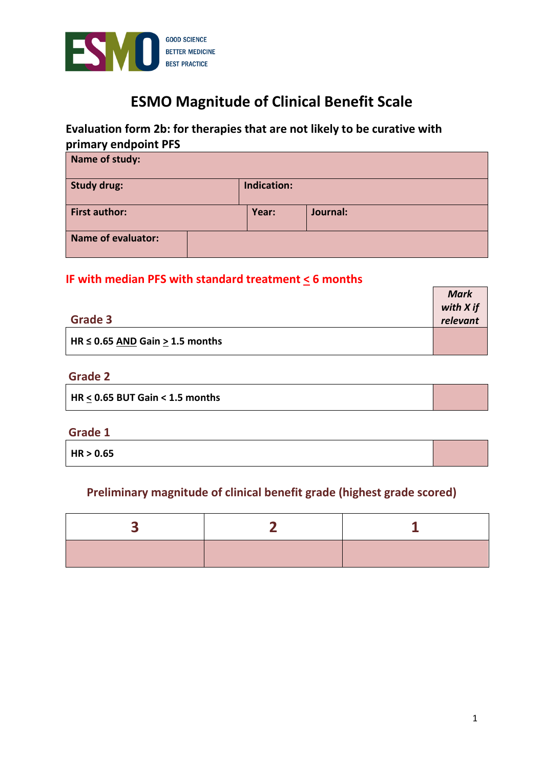

# **ESMO Magnitude of Clinical Benefit Scale**

# **Evaluation form 2b: for therapies that are not likely to be curative with primary endpoint PFS**

| Name of study:                    |  |       |          |
|-----------------------------------|--|-------|----------|
| Indication:<br><b>Study drug:</b> |  |       |          |
| <b>First author:</b>              |  | Year: | Journal: |
| <b>Name of evaluator:</b>         |  |       |          |

# **IF with median PFS with standard treatment < 6 months**

|                                          | <b>Mark</b> |
|------------------------------------------|-------------|
|                                          | with X if   |
| <b>Grade 3</b>                           | relevant    |
| $H$ HR $\leq$ 0.65 AND Gain > 1.5 months |             |

# **Grade 2**

| HR < 0.65 BUT Gain < 1.5 months |  |
|---------------------------------|--|
|                                 |  |

### **Grade 1**

**HR > 0.65** 

# **Preliminary magnitude of clinical benefit grade (highest grade scored)**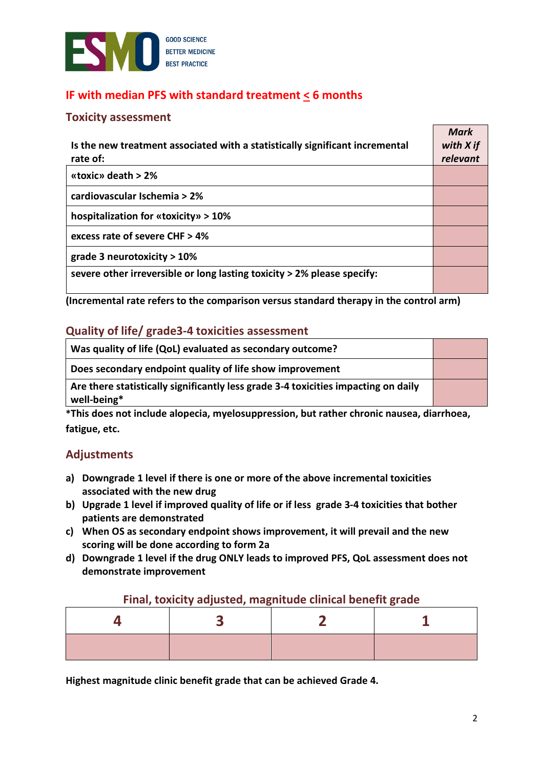

# **IF with median PFS with standard treatment < 6 months**

#### **Toxicity assessment**

| Is the new treatment associated with a statistically significant incremental<br>rate of: | <b>Mark</b><br>with X if<br>relevant |
|------------------------------------------------------------------------------------------|--------------------------------------|
| «toxic» death $> 2\%$                                                                    |                                      |
| cardiovascular Ischemia > 2%                                                             |                                      |
| hospitalization for «toxicity» > 10%                                                     |                                      |
| excess rate of severe CHF > 4%                                                           |                                      |
| grade 3 neurotoxicity $>10\%$                                                            |                                      |
| severe other irreversible or long lasting toxicity > 2% please specify:                  |                                      |

**(Incremental rate refers to the comparison versus standard therapy in the control arm)** 

### **Quality of life/ grade3-4 toxicities assessment**

| Was quality of life (QoL) evaluated as secondary outcome?                                         |  |
|---------------------------------------------------------------------------------------------------|--|
| Does secondary endpoint quality of life show improvement                                          |  |
| Are there statistically significantly less grade 3-4 toxicities impacting on daily<br>well-being* |  |

**\*This does not include alopecia, myelosuppression, but rather chronic nausea, diarrhoea, fatigue, etc.** 

### **Adjustments**

- **a) Downgrade 1 level if there is one or more of the above incremental toxicities associated with the new drug**
- **b) Upgrade 1 level if improved quality of life or if less grade 3-4 toxicities that bother patients are demonstrated**
- **c) When OS as secondary endpoint shows improvement, it will prevail and the new scoring will be done according to form 2a**
- **d) Downgrade 1 level if the drug ONLY leads to improved PFS, QoL assessment does not demonstrate improvement**

#### **Final, toxicity adjusted, magnitude clinical benefit grade**

**Highest magnitude clinic benefit grade that can be achieved Grade 4.**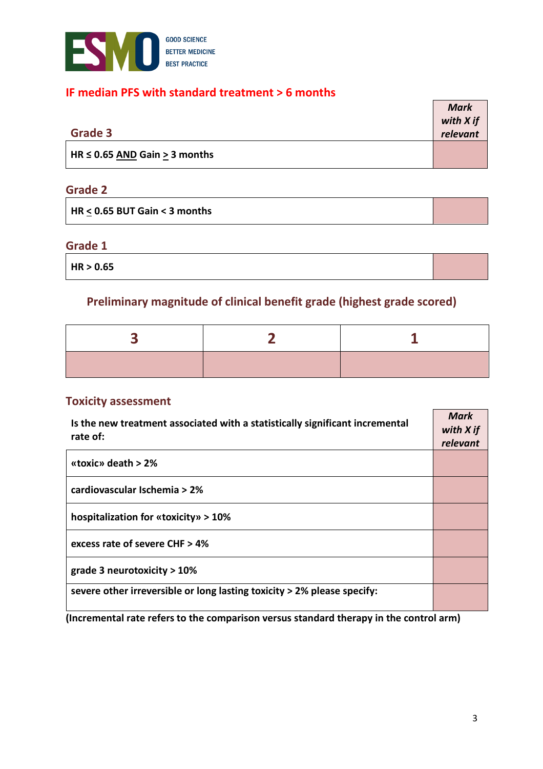

### **IF median PFS with standard treatment > 6 months**

|                                    | <b>Mark</b> |
|------------------------------------|-------------|
|                                    | with X if   |
| <b>Grade 3</b>                     | relevant    |
| HR $\leq$ 0.65 AND Gain > 3 months |             |

# **Grade 2**

| $\vert$ HR < 0.65 BUT Gain < 3 months |  |
|---------------------------------------|--|
|---------------------------------------|--|

# **Grade 1**

**HR > 0.65** 

# **Preliminary magnitude of clinical benefit grade (highest grade scored)**

### **Toxicity assessment**

| Is the new treatment associated with a statistically significant incremental<br>rate of: |  |
|------------------------------------------------------------------------------------------|--|
| «toxic» death $> 2\%$                                                                    |  |
| cardiovascular Ischemia > 2%                                                             |  |
| hospitalization for «toxicity» > $10\%$                                                  |  |
| excess rate of severe CHF $> 4\%$                                                        |  |
| grade 3 neurotoxicity $>10\%$                                                            |  |
| severe other irreversible or long lasting toxicity > 2% please specify:                  |  |

**(Incremental rate refers to the comparison versus standard therapy in the control arm)**